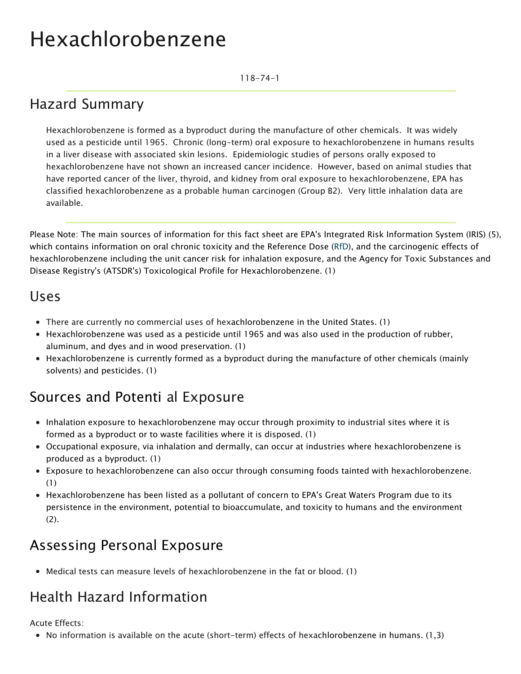# Hexachlorobenzene

118-74-1

### Hazard Summary

Hexachlorobenzene is formed as a byproduct during the manufacture of other chemicals. It was widely used as a pesticide until 1965. Chronic (long-term) oral exposure to hexachlorobenzene in humans results in a liver disease with associated skin lesions. Epidemiologic studies of persons orally exposed to hexachlorobenzene have not shown an increased cancer incidence. However, based on animal studies that have reported cancer of the liver, thyroid, and kidney from oral exposure to hexachlorobenzene, EPA has classified hexachlorobenzene as a probable human carcinogen (Group B2). Very little inhalation data are available.

Please Note: The main sources of information for this fact sheet are EPA's Integrated Risk Information System (IRIS) (5), which contains information on oral chronic toxicity and the Reference Dose [\(RfD\)](https://www.epa.gov/haps/health-effects-notebook-glossary), and the carcinogenic effects of hexachlorobenzene including the unit cancer risk for inhalation exposure, and the Agency for Toxic Substances and Disease Registry's (ATSDR's) Toxicological Profile for Hexachlorobenzene. (1)

#### Uses

- There are currently no commercial uses of hexachlorobenzene in the United States. (1)
- Hexachlorobenzene was used as a pesticide until 1965 and was also used in the production of rubber, aluminum, and dyes and in wood preservation. (1)
- Hexachlorobenzene is currently formed as a byproduct during the manufacture of other chemicals (mainly solvents) and pesticides. (1)

### Sources and Potenti al Exposure

- Inhalation exposure to hexachlorobenzene may occur through proximity to industrial sites where it is formed as a byproduct or to waste facilities where it is disposed. (1)
- Occupational exposure, via inhalation and dermally, can occur at industries where hexachlorobenzene is produced as a byproduct. (1)
- Exposure to hexachlorobenzene can also occur through consuming foods tainted with hexachlorobenzene. (1)
- Hexachlorobenzene has been listed as a pollutant of concern to EPA's Great Waters Program due to its persistence in the environment, potential to bioaccumulate, and toxicity to humans and the environment (2).

### Assessing Personal Exposure

Medical tests can measure levels of hexachlorobenzene in the fat or blood. (1)

### Health Hazard Information

Acute Effects:

• No information is available on the acute (short-term) effects of hexachlorobenzene in humans.  $(1,3)$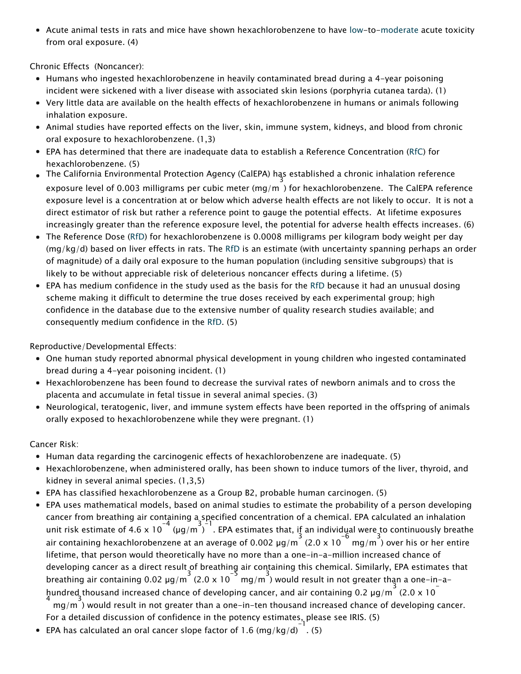Acute animal tests in rats and mice have shown hexachlorobenzene to have [low-](https://www.epa.gov/haps/about-health-effects-fact-sheets)to[-moderate](https://www.epa.gov/haps/about-health-effects-fact-sheets) acute toxicity from oral exposure. (4)

Chronic Effects (Noncancer):

- Humans who ingested hexachlorobenzene in heavily contaminated bread during a 4-year poisoning incident were sickened with a liver disease with associated skin lesions (porphyria cutanea tarda). (1)
- Very little data are available on the health effects of hexachlorobenzene in humans or animals following inhalation exposure.
- Animal studies have reported effects on the liver, skin, immune system, kidneys, and blood from chronic oral exposure to hexachlorobenzene. (1,3)
- EPA has determined that there are inadequate data to establish a Reference Concentration ([RfC\)](https://www.epa.gov/haps/health-effects-notebook-glossary) for hexachlorobenzene. (5)
- The California Environmental Protection Agency (CalEPA) has established a chronic inhalation reference<br>3 exposure level of 0.003 milligrams per cubic meter (mg/m ) for hexachlorobenzene. The CalEPA reference exposure level is a concentration at or below which adverse health effects are not likely to occur. It is not a direct estimator of risk but rather a reference point to gauge the potential effects. At lifetime exposures increasingly greater than the reference exposure level, the potential for adverse health effects increases. (6)
- The Reference Dose [\(RfD\)](https://www.epa.gov/haps/health-effects-notebook-glossary) for hexachlorobenzene is 0.0008 milligrams per kilogram body weight per day (mg/kg/d) based on liver effects in rats. The [RfD](https://www.epa.gov/haps/health-effects-notebook-glossary) is an estimate (with uncertainty spanning perhaps an order of magnitude) of a daily oral exposure to the human population (including sensitive subgroups) that is likely to be without appreciable risk of deleterious noncancer effects during a lifetime. (5)
- EPA has medium confidence in the study used as the basis for the [RfD](https://www.epa.gov/haps/health-effects-notebook-glossary) because it had an unusual dosing scheme making it difficult to determine the true doses received by each experimental group; high confidence in the database due to the extensive number of quality research studies available; and consequently medium confidence in the [RfD](https://www.epa.gov/haps/health-effects-notebook-glossary). (5)

Reproductive/Developmental Effects:

- One human study reported abnormal physical development in young children who ingested contaminated bread during a 4-year poisoning incident. (1)
- Hexachlorobenzene has been found to decrease the survival rates of newborn animals and to cross the placenta and accumulate in fetal tissue in several animal species. (3)
- Neurological, teratogenic, liver, and immune system effects have been reported in the offspring of animals orally exposed to hexachlorobenzene while they were pregnant. (1)

Cancer Risk:

- Human data regarding the carcinogenic effects of hexachlorobenzene are inadequate. (5)
- Hexachlorobenzene, when administered orally, has been shown to induce tumors of the liver, thyroid, and kidney in several animal species. (1,3,5)
- EPA has classified hexachlorobenzene as a Group B2, probable human carcinogen. (5)
- EPA uses mathematical models, based on animal studies to estimate the probability of a person developing cancer from breathing air containing a specified concentration of a chemical. EPA calculated an inhalation unit risk estimate of 4.6 x 10<sup>-4</sup> (µg/m ). EPA estimates that, if an individual were to continuously breathe air containing hexachlorobenzene at an average of 0.002  $\mu$ g/m  $^3$  (2.0 x 10  $^{-6}$  mg/m  $^3$ ) over his or her entire lifetime, that person would theoretically have no more than a one-in-a-million increased chance of developing cancer as a direct result of breathing air containing this chemical. Similarly, EPA estimates that breathing air containing 0.02  $\mu$ g/m<sup>3</sup> (2.0 x 10<sup>-5</sup> mg/m<sup>3</sup>) would result in not greater than a one-in-ahundred thousand increased chance of developing cancer, and air containing 0.2  $\mu$ g/m<sup>3</sup> (2.0 x 10) mg/m 3 ) would result in not greater than a one-in-ten thousand increased chance of developing cancer.

For a detailed discussion of confidence in the potency estimates, please see IRIS. (5)

EPA has calculated an oral cancer slope factor of 1.6 (mg/kg/d)  $^{-1}$  (5)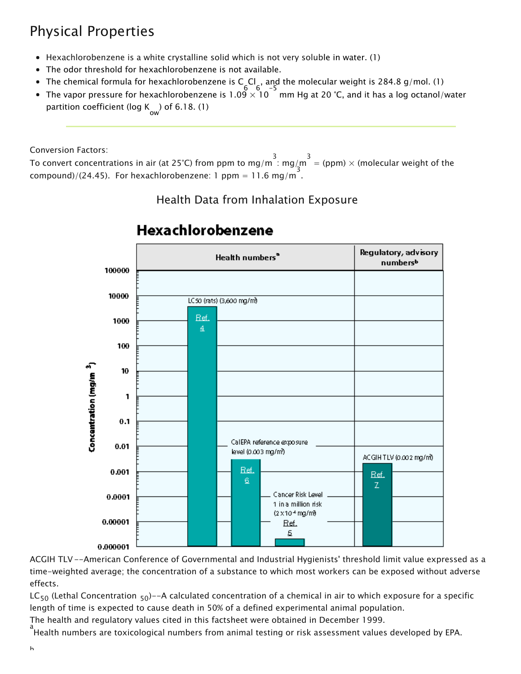## Physical Properties

- Hexachlorobenzene is a white crystalline solid which is not very soluble in water. (1)
- The odor threshold for hexachlorobenzene is not available.
- The chemical formula for hexachlorobenzene is C 6 Cl 6 , and the molecular weight is 284.8 g/mol. (1)
- The vapor pressure for hexachlorobenzene is  $1.09 \times 10^{-5}$  mm Hg at 20 °C, and it has a log octanol/water partition coefficient (log K) of 6.18. (1)  $\frac{1}{\text{ow}}$

Conversion Factors:

To convert concentrations in air (at 25°C) from ppm to mg/m<sup>3</sup> : mg/m<sup>3</sup> = (ppm) × (molecular weight of the compound)/(24.45). For hexachlorobenzene: 1 ppm = 11.6 mg/m .

#### Health Data from Inhalation Exposure



#### Hexachlorobenzene

ACGIH TLV--American Conference of Governmental and Industrial Hygienists' threshold limit value expressed as a time-weighted average; the concentration of a substance to which most workers can be exposed without adverse effects.

LC<sub>50</sub> (Lethal Concentration <sub>50</sub>)--A calculated concentration of a chemical in air to which exposure for a specific length of time is expected to cause death in 50% of a defined experimental animal population.

The health and regulatory values cited in this factsheet were obtained in December 1999.

a<br>Health numbers are toxicological numbers from animal testing or risk assessment values developed by EPA.